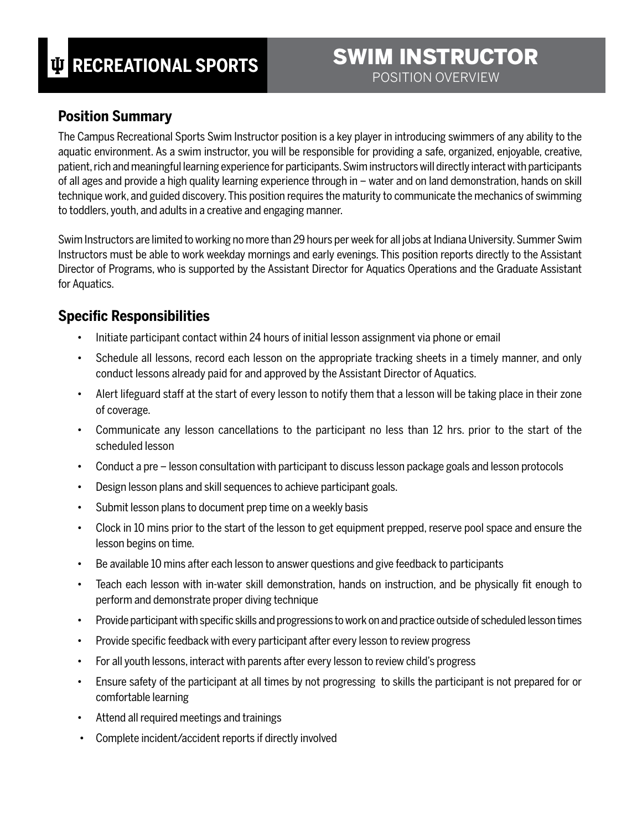# SWIM INSTRUCTOR POSITION OVERVIEW

#### **Position Summary**

The Campus Recreational Sports Swim Instructor position is a key player in introducing swimmers of any ability to the aquatic environment. As a swim instructor, you will be responsible for providing a safe, organized, enjoyable, creative, patient, rich and meaningful learning experience for participants. Swim instructors will directly interact with participants of all ages and provide a high quality learning experience through in – water and on land demonstration, hands on skill technique work, and guided discovery. This position requires the maturity to communicate the mechanics of swimming to toddlers, youth, and adults in a creative and engaging manner.

Swim Instructors are limited to working no more than 29 hours per week for all jobs at Indiana University. Summer Swim Instructors must be able to work weekday mornings and early evenings. This position reports directly to the Assistant Director of Programs, who is supported by the Assistant Director for Aquatics Operations and the Graduate Assistant for Aquatics.

## **Specific Responsibilities**

- Initiate participant contact within 24 hours of initial lesson assignment via phone or email
- Schedule all lessons, record each lesson on the appropriate tracking sheets in a timely manner, and only conduct lessons already paid for and approved by the Assistant Director of Aquatics.
- Alert lifeguard staff at the start of every lesson to notify them that a lesson will be taking place in their zone of coverage.
- Communicate any lesson cancellations to the participant no less than 12 hrs. prior to the start of the scheduled lesson
- Conduct a pre lesson consultation with participant to discuss lesson package goals and lesson protocols
- Design lesson plans and skill sequences to achieve participant goals.
- Submit lesson plans to document prep time on a weekly basis
- Clock in 10 mins prior to the start of the lesson to get equipment prepped, reserve pool space and ensure the lesson begins on time.
- Be available 10 mins after each lesson to answer questions and give feedback to participants
- Teach each lesson with in-water skill demonstration, hands on instruction, and be physically fit enough to perform and demonstrate proper diving technique
- Provide participant with specific skills and progressions to work on and practice outside of scheduled lesson times
- Provide specific feedback with every participant after every lesson to review progress
- For all youth lessons, interact with parents after every lesson to review child's progress
- Ensure safety of the participant at all times by not progressing to skills the participant is not prepared for or comfortable learning
- Attend all required meetings and trainings
- Complete incident/accident reports if directly involved